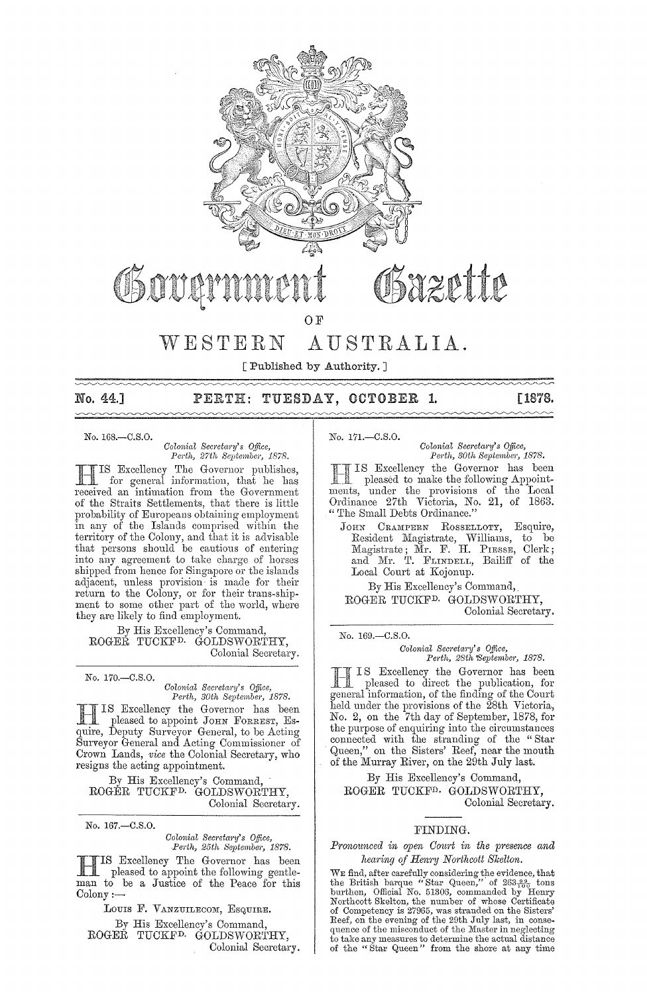

 $\sim\sim\sim\sim$ 

### No. 44.] PERTH: TUESDAY, OCTOBER 1. [1878.

No. 168.-C.S.0.

*ColonioJ Secreta;'Y's Office, Perth, 27th September, 1878.* 

IIIS Excellency The Governor publishes,<br>for general information, that he has<br>received an intimation from the Government -TIS Excellency The Governor publishes, **If** for general information, that he has of the Straits Settlements, that there is little probability of Europeans obtaining employment in any of the Islands comprised within the territory of the Colony, and that it is advisable that persons should be cautious of entering into any agreement to take charge of horses shipped from hence for Singapore or the islands adjacent, unless provision is made for their return to the Colony, or for their trans-shipment to some other part of the world, where they are likely to find employment.

By His Excellency's Command, ROGER TUCKF<sup>D.</sup> GOLDSWORTHY, Colonial Secretary.

No. 170.-C.S.0.

# *Colonial Secretary's Office, Perth, 30th September, 1878.*

I S Excellency the Governor has been pleased to appoint JOHN FORREST, Esquire, Deputy Surveyor General, to be Acting Surveyor General and Acting Commissioner of Crown Lands, *vice* the Colonial Secretary, who resigns the acting appointment.

By His Excellency's Command, ROGER TUCKFD. GOLDSWORTHY, Colonial Secretary.

No. 167.-C.S.O.

*Colonic!l Sec1'etw'Y's Office, Pe1'th, 25th September, 1878.* 

HIS Excellency The Governor has been pleased to appoint the following gentleman to be a Justice of the Peace for this  $\mathrm{Colony}:=$ 

LOUIS F. VANZUILECOM, ESQUIRE. By His Excellency's Command, ROGER TUCKFD. GOLDSWORTHY, Colonial Secretary. No. 171.-C.S.O.

*Colonial Secretary's Office, Perth, 30th September, 1878.* 

IS Excellency the Governor has been pleased to make the following Appointments, under the provisions of the Local Ordinance 27th Victoria, No. 21, of 1863. " The Small Debts Ordinance."

JOHN CRAMPERN ROSSELLOTY, Esquire, Resident Magistrate, Williams, to be Magistrate; Mr. F. H. PIESSE, Clerk; and Mr. T. FLINDELL, Bailiff of the Local Court at Kojonup.

By His Excellency's Command, ROGER TUCKFD. GOLDSWORTHY, Colonial Secretary.

No. 169.-C.S.0.

# *Colonial Sem'etuj'Y's Office, Perth, 28th'Septembej', 1878.*

III IS Excellency the Governor has been<br>pleased to direct the publication, for<br>conoral information of the finding of the Court. IS Excellency the Governor has been general information, of the finding of the Court held under the provisions of the 28th Victoria, No. 2, on the 7th day of September, 1878, for the purpose of enquiring into the circumstances connected with the stranding' of the "Star Queen," on the Sisters' Reef, near the mouth of the Murray River, on the 29th July last.

By His Excellency's Command, ROGER TUCKFD. GOLDSWORTHY, Colonial Secretary.

### FINDING.

#### *Pronounced in open Court in the presence and hearing of Henry Northcott Skelton.*

WE find, after carefully considering the evidence, that<br>the British barque "Star Queen," of  $263\frac{98}{100}$  tons<br>burthen, Official No. 51306, commanded by Henry<br>Northcott Skelton, the number of whose Certificate<br>of Compet to take any measures to determine the actual distance of the "Star Queen" from the shore at any time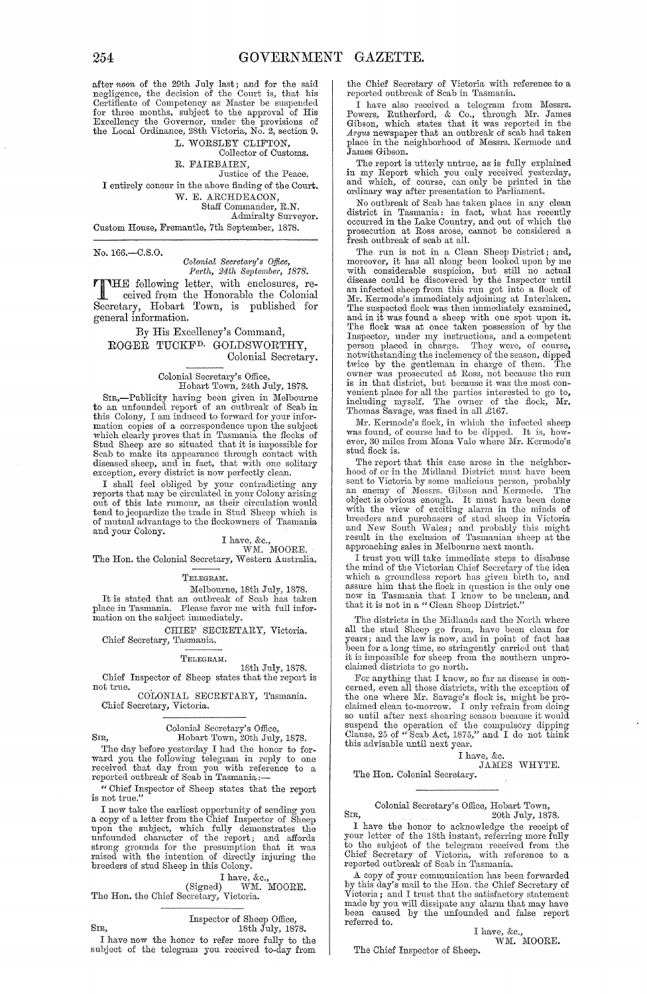after noon of the 29th July last; and for the said<br>negligence, the decision of the Court is, that his<br>Certificate of Competency as Master be suspended<br>for three months, subject to the approval of His<br>Excellency the Governo

L. WORSLEY CLIFTON, Collector of Customs.

R. FAIRBAIRN,

Justice of the Peace. I entirely concur in the above finding of the Court. W. E. ARCHDEACON, Staff Commander, R.N. Admiralty Surveyor.

Custom House, Fremantle, 7th September, 1878.

No. 166.-C.S.0.

*Oolonial Secretary's Office, Pm·th, 24th Septmnber, 1878.* 

THE following letter, with enclosures, re-<br>ceived from the Honorable the Colonial ceived from the Honorable the Colonial Secretary, Hobart Town, is published for general information.

By His Excellency's Command, ROGER TUCKFD. GOLDSWORTHY, Colonial Secretary.

# Colonial Secretary's Office, Hobart Town, 24th July, 1878.

SIR,-Publicity having been g'iven in Melbourne to an unfounded report of an outbreak of Scab in this Colony, I am induced to forward for your information copies of a correspondence upon the subject which clearly proves that in Tasmania the flocks of Stud Sheep are so situated that it is impossible for Scab to make its appearance through contact with diseased sheep, and in fact, that with one solitary exception, every district is now perfectly clean.

I shall feel obliged by your contradicting any reports that may be circulated in your Colony arising out of this late rumour, as their circulation would tend to jeopardize the trade in Stud Sheep which is of mutual advantage to the flockowners of Tasmania and your Colony.

## I have, &c.,<br>WM. MOORE.

The Hon. the Colonial Secretary, Western Australia.

TELEGRAM.

Melbourne, 18th July, 1878. It is stated that an outbreak of Scab has taken place in 1'asmania. Please favor me with full infor-mation on the snbject immediately.

CHIEF SECRETARY, Victoria. Chief Secretary, Tasmania.

TELEGRAM.

### 18th July, 1878.

Chief Inspector of Sheep states that the report is not true. COLONIAL SECRETARY, Tasmania.

Chief Secretary, Victoria.

# Colonial Secretary's Office, SIR, Hobart Town, 20th July, 1878.

The day before yesterday I had the honor to forward you the following telegram in reply to one received that day from you with reference to a reported outbreak of Scab in Tasmania:-

" Chief Inspector of Sheep states that the report is not true.'

I now take the earliest opportunity of sending you<br>a copy of a letter from the Chief Inspector of Sheep<br>upon the subject, which fully demonstrates the<br>unfounded character of the report; and affords<br>strong grounds for the p

I have, &c., (Signed) WM. MOORE.<br>The Hon. the Chief Secretary, Victoria.

Inspector of Sheep Office, SIR, 18th July, 1878.

I have now the honor to refer more fully to the subject of the telegram you received to-day from the Chief Secretary of Victoria with reference to a reported outbreak of Scab in Tasmania.

I have also received a telegram from Messrs. Powers, Rutherford, & Co., through Mr. James Gibson, which states that it was reported in the *A"gus* newspaper that an outbreak of scab had taken place in the neighborhood of Messrs. Kermode and James Gibson.

The report is utterly untrue, as is fully explained in my Report which you only received yesterday, and which, of course, can only be printed in the ordinary way after presentation to Parliament.

No outbreak of Scab has taken place in any clean district in Tasmania: in fact, what has recently occurred in the Lake Country, and out of which the prosecution at Ross arose, cannot be considered a fresh outbreak of scab at all.

The run is not in a Clean Sheep District; and, moreover, it has all along been looked upon by me<br>with considerable suspicion, but still no actual<br>disease could be discovered by the Inspector until<br>an infected sheep from this run got into a flock of<br>Mr. Kermode's immedi The suspected flock was then immediately examined,<br>and in it was found a sheep with one spot upon it.<br>The flock was at once taken possession of by the<br>Inspector, under my instructions, and a competent<br>person placed in char twice by the gentleman in charge of them. The owner was prosecuted at Ross, not because the run is in that district, but because it was the most con-venient place for all the parties interested to go to, including myself. The owner of the flock, Mr. Thomas Savage, was fined in all £167.

Mr. Kermode's flock, in which the infected sheep was found, of course had to be dipped. It is, how-<br>ever, 30 miles from Mona Vale where Mr. Kermode's stud flock is.

The report that this case arose in the neighborhood of or in the Midland District must have been<br>sent to Victoria by some malicious person, probably<br>an enemy of Messrs. Gibson and Kermode. The<br>object is obvious enough. It with the view of exciting alarm in the minds of breeders and purchasers of stud sheep in Victoria and New South Wales; and probably this might result in the exclusion of Tasmanian sheep at the approaching sales in Melbourne next month.

I trust you will take immediate steps to disabuse the mind of the Victorian Chief Secretary of the idea which a groundless report has given birth to, and assure him that the flock in question is the only one now in Tasmania that I know to be unclean, and that it is not in a "Clean Sheep District."

The districts in the Midlands and the North where all the stud Sheep go from, have been clean for<br>years; and the law is now, and in point of fact has<br>been for a long time, so stringently carried out that<br>it is impossible for sheep from the southern unpro-<br>claimed district

For anything that I know, so far as disease is concerned, even all those districts, with the exception of the one where Mr. Savage's flock is, might be pro-<br>claimed clean to-morrow. I only refrain from doing so until after next shearing season because it would suspend the operation of the compulsory dipping Clause, 25 of "Scab Act, 1875," and I do not think this advisable until next year.

I have, &c. JAMES WHYTE.

The Hon. Colonial Secretary.

Colonial Secretary's Office, Hobart Town, SIR, 20th July, 1878.

I have the honor to acknowledge the receipt of your letter of the 18th instant, referring more fully to the subject of the telegram received from the Chief Secretary of Victoria, with reference to a reported outbreak of Scab in Tasmania.

A copy of your communication has been forwarded by this day's mail to the Hon. the Chief Secretary of Victoria; and I trust that the satisfactory statement made by you will dissipate any alarm that may have<br>been caused by the unfounded and false report referred to.

> I have, &c., WM. MOORE.

The Chief Inspector of Sheep.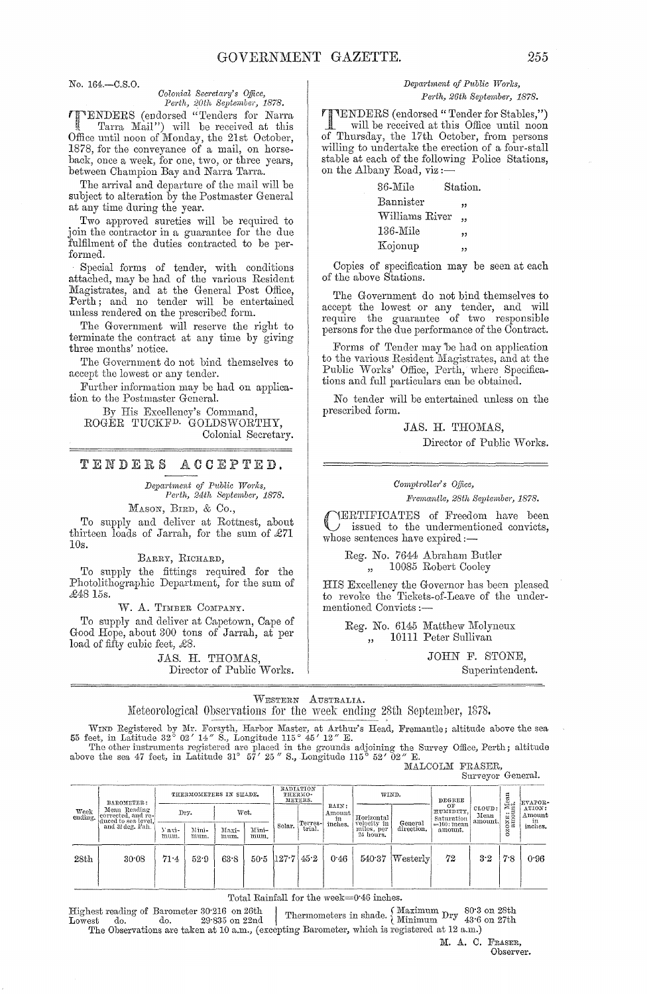# *Colonial Secretary's Office,*

*Perth, 20th September, 1878.*<br> *PHYENDERS* (endorsed "Tenders for Narra 'fENDERS (endorsed "Tenders for Netrra , Tetrm Mail") will be received at this Office until noon of Monday, the 21st October, 1878, for the conveyance of a mail, on horseback, once a week, for one, two, or three years, between Champion Bay and Narra Tarra.

The arrival and departure of the mail will be subject to alteration by the Postmaster General at any time during the year.

Two approved sureties will be required to join the contractor in a guarantee for the due fulfilment of the duties contracted to be performed.

Special forms of tender, with conditions attached, may be had of the various Resident Magistrates, and at the General Post Office, Perth; and no tender will be entertained unless rendered on the prescribed form.

The Government will reserve the right to terminate the contract at any time by giving three months' notice.

The Government do not bind themselves to accept the lowest or any tender.

Further information may be had on application to the Postmaster General.

By His Excellency's Command, ROGER TUCKF<sup>D.</sup> GOLDSWORTHY, Colonial Secretary.

### TENDERS ACCEPTED.

 $Department of Public Works,$ *Perth, 24th September, 1878.* 

MASON, BIRD, & Co.,

To supply and deliver at Rottnest, about thirteen loads of Jarrah, for the sum of  $\pounds 71$ 10s.

BARRY, RICHARD,

To supply the fittings required for the Photolithographic Department, for the sum of £4815s.

W. A. TIMBER COMPANY.

To supply and deliver at Capetown, Cape of Good Hope, about 300 tons of Jarrah, at per load of fifty cubic feet,  $\pounds 8$ .

> JAS. H. THOMAS, Director of Public Works.

#### No. 164.-C.S.O. *Department of Public Works*, Perth, 26th September, 1878.

TENDERS (endorsed" Tender for Stables,") will be received at this Office until noon of Thursday, the 17th October, from persons willing to undertake the erection of a four-stall stable at each of the following Police Stations, on the Albany Road, viz :-

| 36-Mile        | Station. |
|----------------|----------|
| Bannister      | ,,       |
| Williams River | ,,       |
| $136$ -Mile    | ,,       |
| Kojonup        | ,,       |
|                |          |

Copies of specification may be seen at each of the above Stations.

The Government do not bind themselves to accept the lowest or any tender, and will require the guarantee of two responsible persons for the due performance of the Contract.

Forms of Tender may be had on application to the various Resident Magistrates, and at the Public Works' Office, Perth, where Specifications and full particulars can be obtained.

No tender will be entertained unless on the prescribed form.

> JAS. H. THOMAS, Director of Public Works.

Comptroller's Office,

*Jf'l'emantle, 28th September, 1878.* 

CERTIFICATES of Freedom have been issued to the undermentioned convicts, whose sentences have expired:-

Reg. No. 7644 Abraham Butler 10085 Robert Cooley

HIS Excellency the Governor has been pleased to revoke the Tickets-of-Leave of the undermentioned Convicts :-

Reg. No. 6145 Matthew Molyneux ,, 10111 Peter Sullivan

> JOHN F. STONE, Superintendent.

WESTERN AUSTRALIA. Meteorological Observations for the week ending 28th September, 1878.

WIND Registered by Mr. Forsyth, Harbor Master, at Arthur's Head, Fremantle; altitude above the sea 55 feet, in Latitude 32° 02' *14"* S., Longitude 115° 45' *12"* E.

The other instruments registered are placed in the grounds adjoining the Survey Office, Perth; altitude above the sea 47 feet, in Latitude 31° 57' 25" S., Longitude 115° 52' 02" E. MALCOLM FRASER,

Surveyor General.

| Week<br>ending. | BAROMETER:<br>Mean Reading<br>corrected, and re-<br>duced to sea level.<br>and 32 deg. Fah. | THERMOMETERS IN SHADE. |               |               |                    | RADIATION<br>THERMO-<br>METERS. |                   |                         | WIND.                                  |                       | DEGREE                        |                             |                       | EVAPOR-                 |
|-----------------|---------------------------------------------------------------------------------------------|------------------------|---------------|---------------|--------------------|---------------------------------|-------------------|-------------------------|----------------------------------------|-----------------------|-------------------------------|-----------------------------|-----------------------|-------------------------|
|                 |                                                                                             | Dry.                   |               | Wet.          |                    |                                 |                   | RAIN:<br>Amount  <br>in | Horizontal                             |                       | OF<br>HUMIDITY.<br>Saturation | CLOUD:<br>Mean<br>' amount. | SONE: Mean<br>amount. | ATION:<br>Amount<br>in. |
|                 |                                                                                             | $Y$ axi-<br>mum.       | Mini-<br>mum. | Maxi-<br>mum. | Mini-<br>mum.      | Solar.                          | Terres-<br>trial. | inches.                 | velocity in<br>miles, per<br>24 hours. | General<br>direction. | $=100$ : mean<br>amount.      |                             | Ň<br>8                | inches.                 |
| 28th            | 30.08                                                                                       | 71.4                   | 52.9          | 63.8          | 50.5 $ 127.7 45.2$ |                                 |                   | 0.46                    |                                        | $540.37$ Westerly     | 72                            | 3.2                         | 7.8                   | 0.96                    |
|                 |                                                                                             |                        |               |               |                    |                                 |                   |                         |                                        |                       |                               |                             |                       |                         |

Total Rainfall for the week=0'46 inches.

Highest reacling of Barometer 30'216 on 26th I . d" Maximum 80'3 on 28th Lowest do. do. 29'835 on 22nd Thermometers III sha e. <. Minimum Dry 43'6 on 27th Lowest do. do. 29.835 on 22nd thermometers in slaue. Minimum  $^{Lry}$  43.6<br>The Observations are taken at 10 a.m., (excepting Barometer, which is registered at 12 a.m.)

> M. A. C. FRASER, Observer.